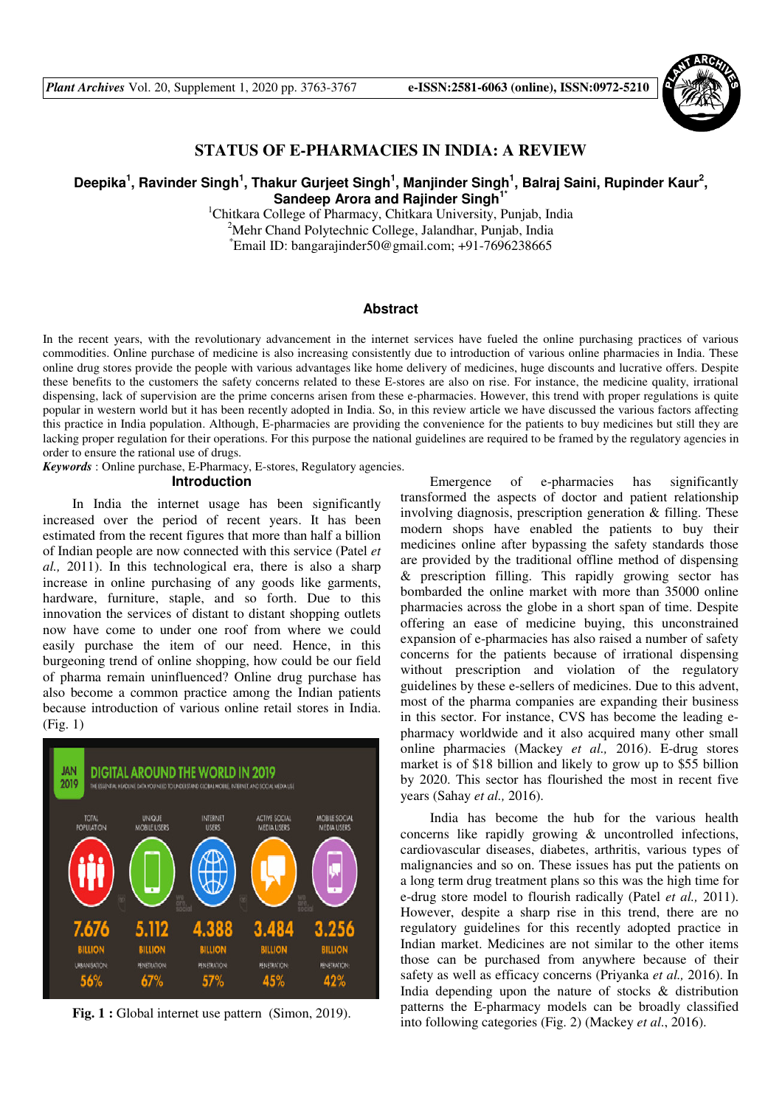

# **STATUS OF E-PHARMACIES IN INDIA: A REVIEW**

## Deepika<sup>1</sup>, Ravinder Singh<sup>1</sup>, Thakur Gurjeet Singh<sup>1</sup>, Manjinder Singh<sup>1</sup>, Balraj Saini, Rupinder Kaur<sup>2</sup>, **Sandeep Arora and Rajinder Singh1\***

<sup>1</sup>Chitkara College of Pharmacy, Chitkara University, Punjab, India <sup>2</sup>Mehr Chand Polytechnic College, Jalandhar, Punjab, India  $E$ mail ID: bangarajinder50@gmail.com; +91-7696238665

## **Abstract**

In the recent years, with the revolutionary advancement in the internet services have fueled the online purchasing practices of various commodities. Online purchase of medicine is also increasing consistently due to introduction of various online pharmacies in India. These online drug stores provide the people with various advantages like home delivery of medicines, huge discounts and lucrative offers. Despite these benefits to the customers the safety concerns related to these E-stores are also on rise. For instance, the medicine quality, irrational dispensing, lack of supervision are the prime concerns arisen from these e-pharmacies. However, this trend with proper regulations is quite popular in western world but it has been recently adopted in India. So, in this review article we have discussed the various factors affecting this practice in India population. Although, E-pharmacies are providing the convenience for the patients to buy medicines but still they are lacking proper regulation for their operations. For this purpose the national guidelines are required to be framed by the regulatory agencies in order to ensure the rational use of drugs.

*Keywords* : Online purchase, E-Pharmacy, E-stores, Regulatory agencies.

#### **Introduction**

In India the internet usage has been significantly increased over the period of recent years. It has been estimated from the recent figures that more than half a billion of Indian people are now connected with this service (Patel *et al.,* 2011). In this technological era, there is also a sharp increase in online purchasing of any goods like garments, hardware, furniture, staple, and so forth. Due to this innovation the services of distant to distant shopping outlets now have come to under one roof from where we could easily purchase the item of our need. Hence, in this burgeoning trend of online shopping, how could be our field of pharma remain uninfluenced? Online drug purchase has also become a common practice among the Indian patients because introduction of various online retail stores in India. (Fig. 1)



Fig. 1 : Global internet use pattern (Simon, 2019).

Emergence of e-pharmacies has significantly transformed the aspects of doctor and patient relationship involving diagnosis, prescription generation & filling. These modern shops have enabled the patients to buy their medicines online after bypassing the safety standards those are provided by the traditional offline method of dispensing & prescription filling. This rapidly growing sector has bombarded the online market with more than 35000 online pharmacies across the globe in a short span of time. Despite offering an ease of medicine buying, this unconstrained expansion of e-pharmacies has also raised a number of safety concerns for the patients because of irrational dispensing without prescription and violation of the regulatory guidelines by these e-sellers of medicines. Due to this advent, most of the pharma companies are expanding their business in this sector. For instance, CVS has become the leading epharmacy worldwide and it also acquired many other small online pharmacies (Mackey *et al.,* 2016). E-drug stores market is of \$18 billion and likely to grow up to \$55 billion by 2020. This sector has flourished the most in recent five years (Sahay *et al.,* 2016).

India has become the hub for the various health concerns like rapidly growing & uncontrolled infections, cardiovascular diseases, diabetes, arthritis, various types of malignancies and so on. These issues has put the patients on a long term drug treatment plans so this was the high time for e-drug store model to flourish radically (Patel *et al.,* 2011). However, despite a sharp rise in this trend, there are no regulatory guidelines for this recently adopted practice in Indian market. Medicines are not similar to the other items those can be purchased from anywhere because of their safety as well as efficacy concerns (Priyanka *et al.,* 2016). In India depending upon the nature of stocks & distribution patterns the E-pharmacy models can be broadly classified into following categories (Fig. 2) (Mackey *et al*., 2016).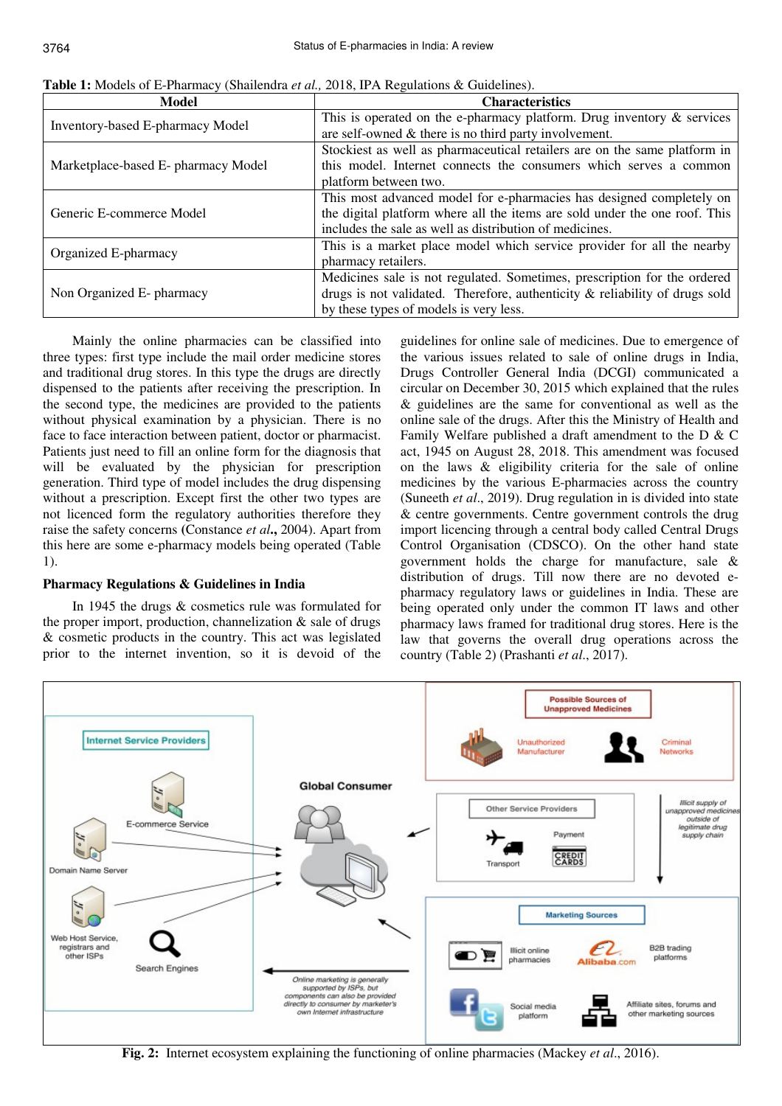| Model                                   | <b>Characteristics</b>                                                         |  |  |  |
|-----------------------------------------|--------------------------------------------------------------------------------|--|--|--|
| <b>Inventory-based E-pharmacy Model</b> | This is operated on the e-pharmacy platform. Drug inventory $\&$ services      |  |  |  |
|                                         | are self-owned $\&$ there is no third party involvement.                       |  |  |  |
|                                         | Stockiest as well as pharmaceutical retailers are on the same platform in      |  |  |  |
| Marketplace-based E- pharmacy Model     | this model. Internet connects the consumers which serves a common              |  |  |  |
|                                         | platform between two.                                                          |  |  |  |
| Generic E-commerce Model                | This most advanced model for e-pharmacies has designed completely on           |  |  |  |
|                                         | the digital platform where all the items are sold under the one roof. This     |  |  |  |
|                                         | includes the sale as well as distribution of medicines.                        |  |  |  |
|                                         | This is a market place model which service provider for all the nearby         |  |  |  |
| Organized E-pharmacy                    | pharmacy retailers.                                                            |  |  |  |
|                                         | Medicines sale is not regulated. Sometimes, prescription for the ordered       |  |  |  |
| Non Organized E- pharmacy               | drugs is not validated. Therefore, authenticity $\&$ reliability of drugs sold |  |  |  |
|                                         | by these types of models is very less.                                         |  |  |  |

**Table 1:** Models of E-Pharmacy (Shailendra *et al.,* 2018, IPA Regulations & Guidelines).

Mainly the online pharmacies can be classified into three types: first type include the mail order medicine stores and traditional drug stores. In this type the drugs are directly dispensed to the patients after receiving the prescription. In the second type, the medicines are provided to the patients without physical examination by a physician. There is no face to face interaction between patient, doctor or pharmacist. Patients just need to fill an online form for the diagnosis that will be evaluated by the physician for prescription generation. Third type of model includes the drug dispensing without a prescription. Except first the other two types are not licenced form the regulatory authorities therefore they raise the safety concerns **(**Constance *et al***.,** 2004). Apart from this here are some e-pharmacy models being operated (Table 1).

## **Pharmacy Regulations & Guidelines in India**

In 1945 the drugs & cosmetics rule was formulated for the proper import, production, channelization & sale of drugs & cosmetic products in the country. This act was legislated prior to the internet invention, so it is devoid of the

guidelines for online sale of medicines. Due to emergence of the various issues related to sale of online drugs in India, Drugs Controller General India (DCGI) communicated a circular on December 30, 2015 which explained that the rules & guidelines are the same for conventional as well as the online sale of the drugs. After this the Ministry of Health and Family Welfare published a draft amendment to the D & C act, 1945 on August 28, 2018. This amendment was focused on the laws & eligibility criteria for the sale of online medicines by the various E-pharmacies across the country (Suneeth *et al*., 2019). Drug regulation in is divided into state & centre governments. Centre government controls the drug import licencing through a central body called Central Drugs Control Organisation (CDSCO). On the other hand state government holds the charge for manufacture, sale & distribution of drugs. Till now there are no devoted epharmacy regulatory laws or guidelines in India. These are being operated only under the common IT laws and other pharmacy laws framed for traditional drug stores. Here is the law that governs the overall drug operations across the country (Table 2) (Prashanti *et al*., 2017).



**Fig. 2:** Internet ecosystem explaining the functioning of online pharmacies (Mackey *et al*., 2016).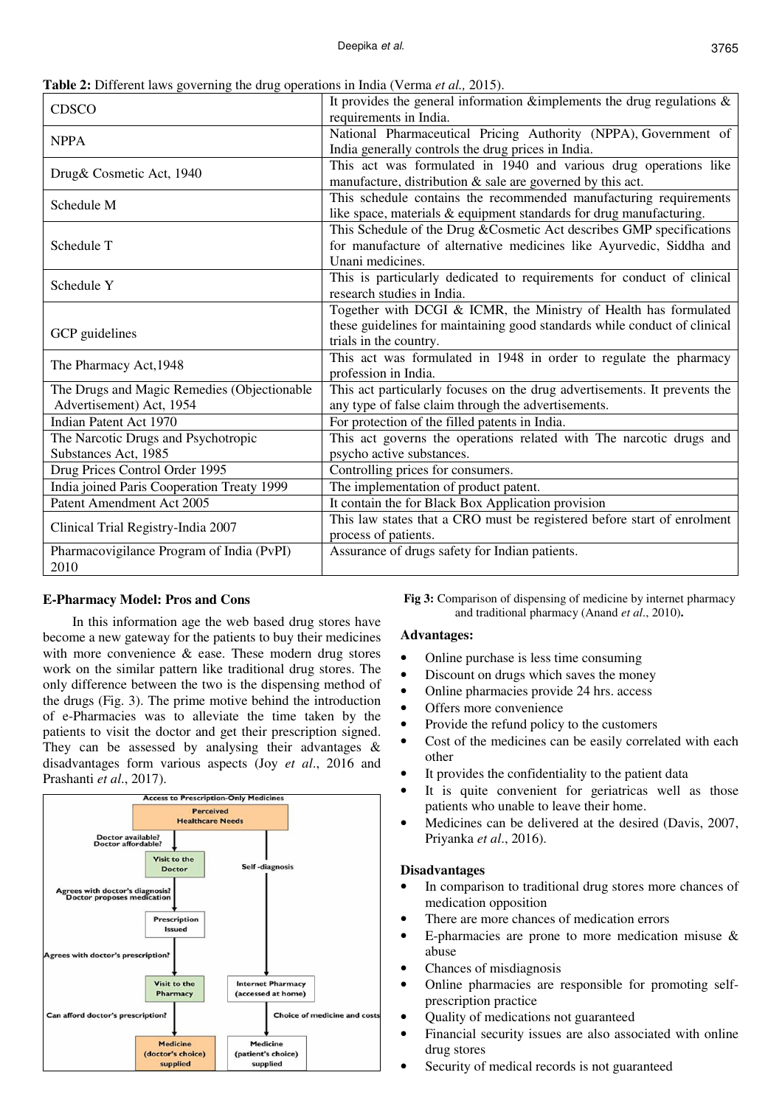3765

|  |  | Table 2: Different laws governing the drug operations in India (Verma et al., 2015). |  |  |
|--|--|--------------------------------------------------------------------------------------|--|--|
|  |  |                                                                                      |  |  |

| <b>CDSCO</b>                                | It provides the general information &implements the drug regulations $\&$<br>requirements in India. |  |  |  |
|---------------------------------------------|-----------------------------------------------------------------------------------------------------|--|--|--|
| <b>NPPA</b>                                 | National Pharmaceutical Pricing Authority (NPPA), Government of                                     |  |  |  |
|                                             | India generally controls the drug prices in India.                                                  |  |  |  |
| Drug& Cosmetic Act, 1940                    | This act was formulated in 1940 and various drug operations like                                    |  |  |  |
|                                             | manufacture, distribution $\&$ sale are governed by this act.                                       |  |  |  |
| Schedule M                                  | This schedule contains the recommended manufacturing requirements                                   |  |  |  |
|                                             | like space, materials & equipment standards for drug manufacturing.                                 |  |  |  |
|                                             | This Schedule of the Drug & Cosmetic Act describes GMP specifications                               |  |  |  |
| Schedule T                                  | for manufacture of alternative medicines like Ayurvedic, Siddha and                                 |  |  |  |
|                                             | Unani medicines.                                                                                    |  |  |  |
| Schedule Y                                  | This is particularly dedicated to requirements for conduct of clinical                              |  |  |  |
|                                             | research studies in India.                                                                          |  |  |  |
|                                             | Together with DCGI & ICMR, the Ministry of Health has formulated                                    |  |  |  |
|                                             | these guidelines for maintaining good standards while conduct of clinical                           |  |  |  |
| GCP guidelines                              | trials in the country.                                                                              |  |  |  |
| The Pharmacy Act, 1948                      | This act was formulated in 1948 in order to regulate the pharmacy                                   |  |  |  |
|                                             | profession in India.                                                                                |  |  |  |
| The Drugs and Magic Remedies (Objectionable | This act particularly focuses on the drug advertisements. It prevents the                           |  |  |  |
| Advertisement) Act, 1954                    | any type of false claim through the advertisements.                                                 |  |  |  |
| Indian Patent Act 1970                      | For protection of the filled patents in India.                                                      |  |  |  |
| The Narcotic Drugs and Psychotropic         | This act governs the operations related with The narcotic drugs and                                 |  |  |  |
| Substances Act, 1985                        | psycho active substances.                                                                           |  |  |  |
| Drug Prices Control Order 1995              | Controlling prices for consumers.                                                                   |  |  |  |
| India joined Paris Cooperation Treaty 1999  | The implementation of product patent.                                                               |  |  |  |
| Patent Amendment Act 2005                   | It contain the for Black Box Application provision                                                  |  |  |  |
|                                             | This law states that a CRO must be registered before start of enrolment                             |  |  |  |
| Clinical Trial Registry-India 2007          | process of patients.                                                                                |  |  |  |
| Pharmacovigilance Program of India (PvPI)   | Assurance of drugs safety for Indian patients.                                                      |  |  |  |
| 2010                                        |                                                                                                     |  |  |  |

## **E-Pharmacy Model: Pros and Cons**

In this information age the web based drug stores have become a new gateway for the patients to buy their medicines with more convenience & ease. These modern drug stores work on the similar pattern like traditional drug stores. The only difference between the two is the dispensing method of the drugs (Fig. 3). The prime motive behind the introduction of e-Pharmacies was to alleviate the time taken by the patients to visit the doctor and get their prescription signed. They can be assessed by analysing their advantages  $\&$ disadvantages form various aspects (Joy *et al*., 2016 and Prashanti *et al*., 2017).



**Fig 3:** Comparison of dispensing of medicine by internet pharmacy and traditional pharmacy (Anand *et al*., 2010)**.** 

#### **Advantages:**

- Online purchase is less time consuming
- Discount on drugs which saves the money
- Online pharmacies provide 24 hrs. access
- Offers more convenience
- Provide the refund policy to the customers
- Cost of the medicines can be easily correlated with each other
- It provides the confidentiality to the patient data
- It is quite convenient for geriatricas well as those patients who unable to leave their home.
- Medicines can be delivered at the desired (Davis, 2007, Priyanka *et al*., 2016).

#### **Disadvantages**

- In comparison to traditional drug stores more chances of medication opposition
- There are more chances of medication errors
- E-pharmacies are prone to more medication misuse & abuse
- Chances of misdiagnosis
- Online pharmacies are responsible for promoting selfprescription practice
- Ouality of medications not guaranteed
- Financial security issues are also associated with online drug stores
- Security of medical records is not guaranteed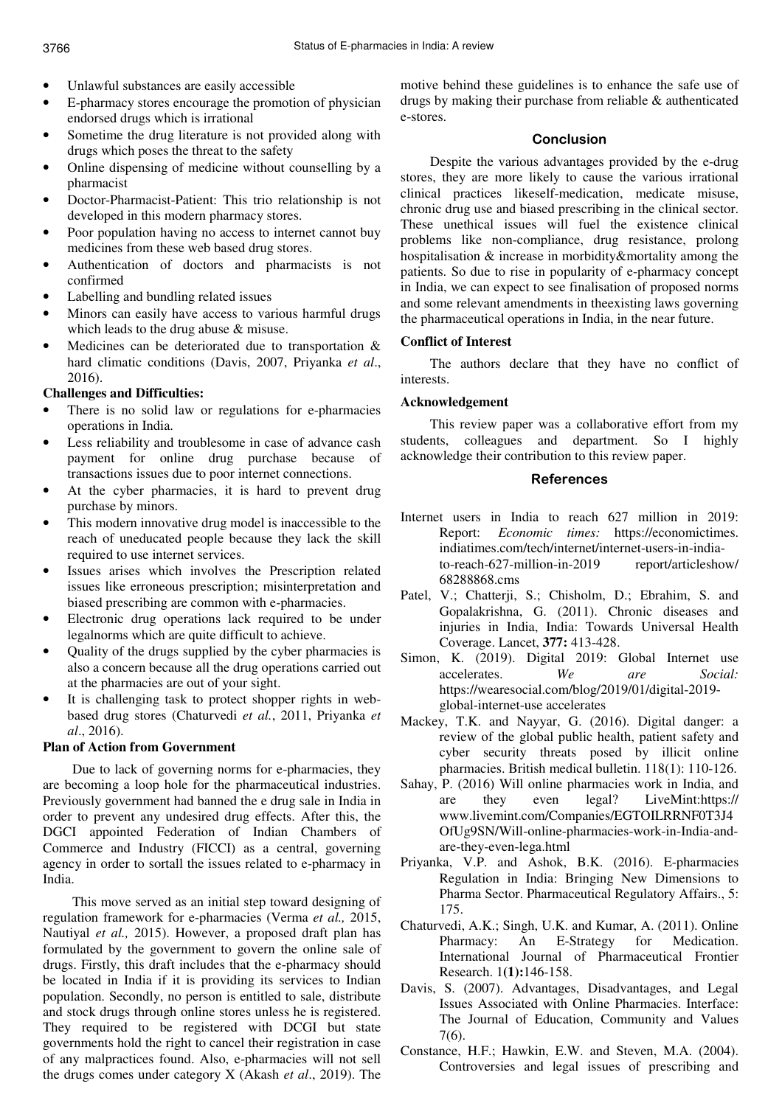- Unlawful substances are easily accessible
- E-pharmacy stores encourage the promotion of physician endorsed drugs which is irrational
- Sometime the drug literature is not provided along with drugs which poses the threat to the safety
- Online dispensing of medicine without counselling by a pharmacist
- Doctor-Pharmacist-Patient: This trio relationship is not developed in this modern pharmacy stores.
- Poor population having no access to internet cannot buy medicines from these web based drug stores.
- Authentication of doctors and pharmacists is not confirmed
- Labelling and bundling related issues
- Minors can easily have access to various harmful drugs which leads to the drug abuse & misuse.
- Medicines can be deteriorated due to transportation  $\&$ hard climatic conditions (Davis, 2007, Priyanka *et al*., 2016).

## **Challenges and Difficulties:**

- There is no solid law or regulations for e-pharmacies operations in India.
- Less reliability and troublesome in case of advance cash payment for online drug purchase because of transactions issues due to poor internet connections.
- At the cyber pharmacies, it is hard to prevent drug purchase by minors.
- This modern innovative drug model is inaccessible to the reach of uneducated people because they lack the skill required to use internet services.
- Issues arises which involves the Prescription related issues like erroneous prescription; misinterpretation and biased prescribing are common with e-pharmacies.
- Electronic drug operations lack required to be under legalnorms which are quite difficult to achieve.
- Quality of the drugs supplied by the cyber pharmacies is also a concern because all the drug operations carried out at the pharmacies are out of your sight.
- It is challenging task to protect shopper rights in webbased drug stores (Chaturvedi *et al.*, 2011, Priyanka *et al*., 2016).

## **Plan of Action from Government**

Due to lack of governing norms for e-pharmacies, they are becoming a loop hole for the pharmaceutical industries. Previously government had banned the e drug sale in India in order to prevent any undesired drug effects. After this, the DGCI appointed Federation of Indian Chambers of Commerce and Industry (FICCI) as a central, governing agency in order to sortall the issues related to e-pharmacy in India.

This move served as an initial step toward designing of regulation framework for e-pharmacies (Verma *et al.,* 2015, Nautiyal *et al.,* 2015). However, a proposed draft plan has formulated by the government to govern the online sale of drugs. Firstly, this draft includes that the e-pharmacy should be located in India if it is providing its services to Indian population. Secondly, no person is entitled to sale, distribute and stock drugs through online stores unless he is registered. They required to be registered with DCGI but state governments hold the right to cancel their registration in case of any malpractices found. Also, e-pharmacies will not sell the drugs comes under category X (Akash *et al*., 2019). The motive behind these guidelines is to enhance the safe use of drugs by making their purchase from reliable & authenticated e-stores.

## Conclusion

Despite the various advantages provided by the e-drug stores, they are more likely to cause the various irrational clinical practices likeself-medication, medicate misuse, chronic drug use and biased prescribing in the clinical sector. These unethical issues will fuel the existence clinical problems like non-compliance, drug resistance, prolong hospitalisation & increase in morbidity&mortality among the patients. So due to rise in popularity of e-pharmacy concept in India, we can expect to see finalisation of proposed norms and some relevant amendments in theexisting laws governing the pharmaceutical operations in India, in the near future.

## **Conflict of Interest**

The authors declare that they have no conflict of interests.

## **Acknowledgement**

This review paper was a collaborative effort from my students, colleagues and department. So I highly acknowledge their contribution to this review paper.

#### References

- Internet users in India to reach 627 million in 2019: Report: *Economic times:* https://economictimes. indiatimes.com/tech/internet/internet-users-in-indiato-reach-627-million-in-2019 report/articleshow/ 68288868.cms
- Patel, V.; Chatterji, S.; Chisholm, D.; Ebrahim, S. and Gopalakrishna, G. (2011). Chronic diseases and injuries in India, India: Towards Universal Health Coverage. Lancet, **377:** 413-428.
- Simon, K. (2019). Digital 2019: Global Internet use accelerates. *We are Social:* https://wearesocial.com/blog/2019/01/digital-2019 global-internet-use accelerates
- Mackey, T.K. and Nayyar, G. (2016). Digital danger: a review of the global public health, patient safety and cyber security threats posed by illicit online pharmacies. British medical bulletin. 118(1): 110-126.
- Sahay, P. (2016) Will online pharmacies work in India, and are they even legal? LiveMint:https:// www.livemint.com/Companies/EGTOILRRNF0T3J4 OfUg9SN/ Will-online-pharmacies-work-in-India-andare-they-even-lega.html
- Priyanka, V.P. and Ashok, B.K. (2016). E-pharmacies Regulation in India: Bringing New Dimensions to Pharma Sector. Pharmaceutical Regulatory Affairs., 5: 175.
- Chaturvedi, A.K.; Singh, U.K. and Kumar, A. (2011). Online Pharmacy: An E-Strategy for Medication. International Journal of Pharmaceutical Frontier Research. 1**(1):**146-158.
- Davis, S. (2007). Advantages, Disadvantages, and Legal Issues Associated with Online Pharmacies. Interface: The Journal of Education, Community and Values 7(6).
- Constance, H.F.; Hawkin, E.W. and Steven, M.A. (2004). Controversies and legal issues of prescribing and